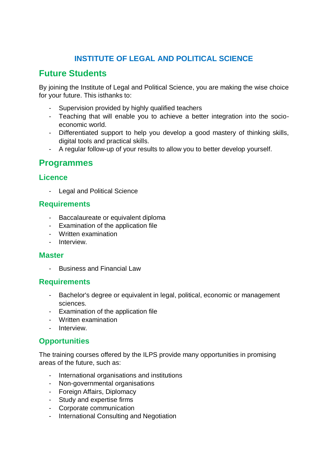### **INSTITUTE OF LEGAL AND POLITICAL SCIENCE**

## **Future Students**

By joining the Institute of Legal and Political Science, you are making the wise choice for your future. This isthanks to:

- Supervision provided by highly qualified teachers
- Teaching that will enable you to achieve a better integration into the socioeconomic world.
- Differentiated support to help you develop a good mastery of thinking skills, digital tools and practical skills.
- A regular follow-up of your results to allow you to better develop yourself.

### **Programmes**

#### **Licence**

- Legal and Political Science

#### **Requirements**

- Baccalaureate or equivalent diploma
- Examination of the application file
- Written examination
- Interview.

#### **Master**

- Business and Financial Law

#### **Requirements**

- Bachelor's degree or equivalent in legal, political, economic or management sciences.
- Examination of the application file
- Written examination
- Interview

#### **Opportunities**

The training courses offered by the ILPS provide many opportunities in promising areas of the future, such as:

- International organisations and institutions
- Non-governmental organisations
- Foreign Affairs, Diplomacy
- Study and expertise firms
- Corporate communication
- International Consulting and Negotiation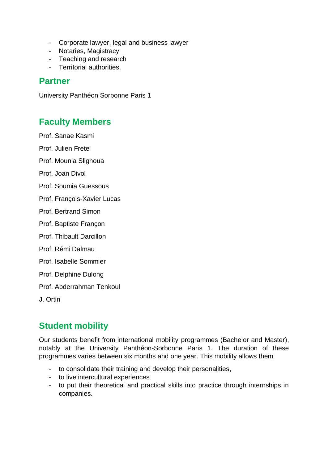- Corporate lawyer, legal and business lawyer
- Notaries, Magistracy
- Teaching and research
- Territorial authorities.

### **Partner**

University Panthéon Sorbonne Paris 1

## **Faculty Members**

Prof. Sanae Kasmi

Prof. Julien Fretel

Prof. Mounia Slighoua

Prof. Joan Divol

- Prof. Soumia Guessous
- Prof. François-Xavier Lucas
- Prof. Bertrand Simon
- Prof. Baptiste Françon
- Prof. Thibault Darcillon
- Prof. Rémi Dalmau
- Prof. Isabelle Sommier
- Prof. Delphine Dulong

Prof. Abderrahman Tenkoul

J. Ortin

## **Student mobility**

Our students benefit from international mobility programmes (Bachelor and Master), notably at the University Panthéon-Sorbonne Paris 1. The duration of these programmes varies between six months and one year. This mobility allows them

- to consolidate their training and develop their personalities,
- to live intercultural experiences
- to put their theoretical and practical skills into practice through internships in companies.